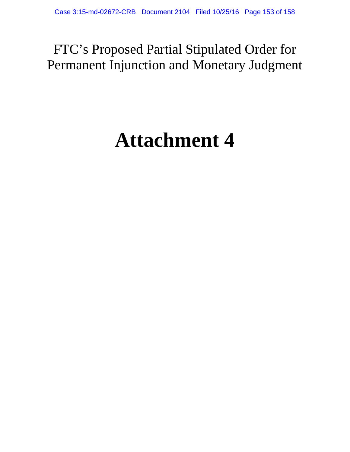# FTC's Proposed Partial Stipulated Order for FTC's Proposed Partial Stipulated Order for<br>Permanent Injunction and Monetary Judgment

# **Attachment 4**